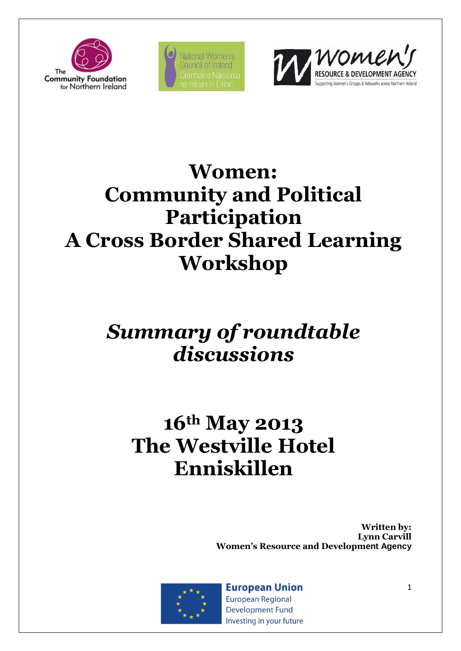

National Women's Council of Ireland



# **Women: Community and Political Participation A Cross Border Shared Learning Workshop**

# *Summary of roundtable discussions*

# **16th May 2013 The [Westville Hotel](http://www.westvillehotel.co.uk/) Enniskillen**

**Written by: Lynn Carvill Women's Resource and Development Agency**



**European Union European Regional Development Fund** Investing in your future 1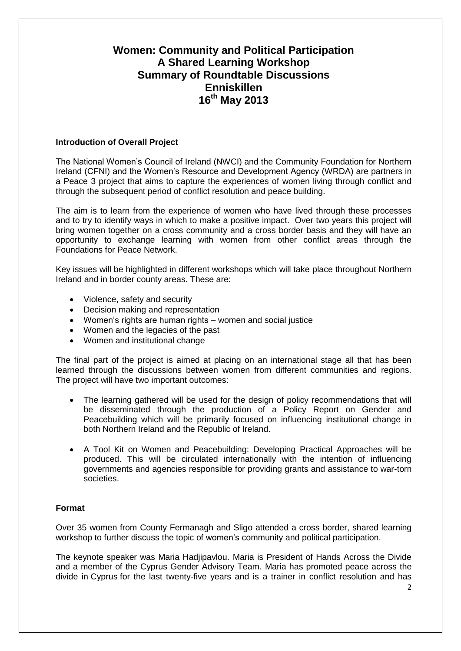# **Women: Community and Political Participation A Shared Learning Workshop Summary of Roundtable Discussions Enniskillen 16th May 2013**

# **Introduction of Overall Project**

The National Women's Council of Ireland (NWCI) and the Community Foundation for Northern Ireland (CFNI) and the Women's Resource and Development Agency (WRDA) are partners in a Peace 3 project that aims to capture the experiences of women living through conflict and through the subsequent period of conflict resolution and peace building.

The aim is to learn from the experience of women who have lived through these processes and to try to identify ways in which to make a positive impact. Over two years this project will bring women together on a cross community and a cross border basis and they will have an opportunity to exchange learning with women from other conflict areas through the Foundations for Peace Network.

Key issues will be highlighted in different workshops which will take place throughout Northern Ireland and in border county areas. These are:

- Violence, safety and security
- Decision making and representation
- Women's rights are human rights women and social justice
- Women and the legacies of the past
- Women and institutional change

The final part of the project is aimed at placing on an international stage all that has been learned through the discussions between women from different communities and regions. The project will have two important outcomes:

- The learning gathered will be used for the design of policy recommendations that will be disseminated through the production of a Policy Report on Gender and Peacebuilding which will be primarily focused on influencing institutional change in both Northern Ireland and the Republic of Ireland.
- A Tool Kit on Women and Peacebuilding: Developing Practical Approaches will be produced. This will be circulated internationally with the intention of influencing governments and agencies responsible for providing grants and assistance to war-torn societies.

# **Format**

Over 35 women from County Fermanagh and Sligo attended a cross border, shared learning workshop to further discuss the topic of women's community and political participation.

The keynote speaker was Maria Hadjipavlou. Maria is President of Hands Across the Divide and a member of the Cyprus Gender Advisory Team. Maria has promoted peace across the divide in [Cyprus](http://en.wikipedia.org/wiki/Cyprus) for the last twenty-five years and is a trainer in conflict resolution and has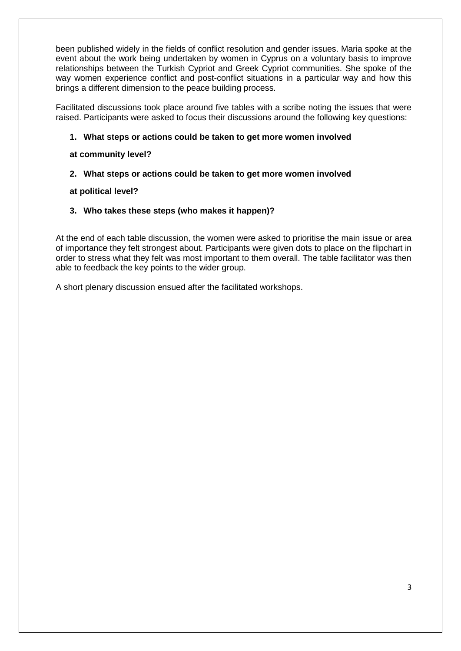been published widely in the fields of conflict resolution and [gender issues.](http://en.wikipedia.org/wiki/Gender#Feminism_and_gender_studies) Maria spoke at the event about the work being undertaken by women in Cyprus on a voluntary basis to improve relationships between the Turkish Cypriot and Greek Cypriot communities. She spoke of the way women experience conflict and post-conflict situations in a particular way and how this brings a different dimension to the peace building process.

Facilitated discussions took place around five tables with a scribe noting the issues that were raised. Participants were asked to focus their discussions around the following key questions:

# **1. What steps or actions could be taken to get more women involved**

**at community level?** 

# **2. What steps or actions could be taken to get more women involved**

**at political level?** 

# **3. Who takes these steps (who makes it happen)?**

At the end of each table discussion, the women were asked to prioritise the main issue or area of importance they felt strongest about. Participants were given dots to place on the flipchart in order to stress what they felt was most important to them overall. The table facilitator was then able to feedback the key points to the wider group.

A short plenary discussion ensued after the facilitated workshops.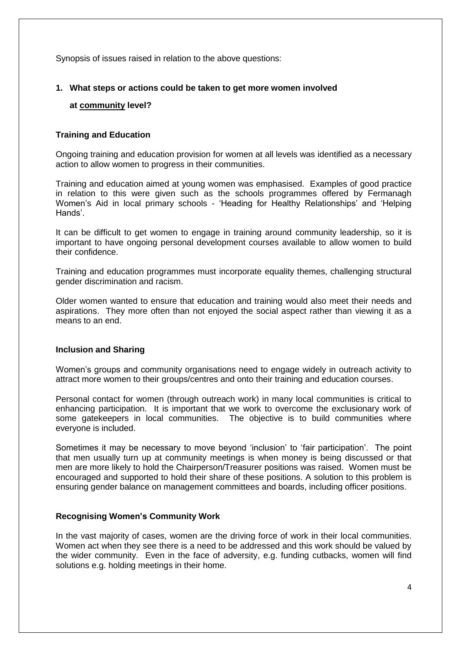Synopsis of issues raised in relation to the above questions:

# **1. What steps or actions could be taken to get more women involved**

# **at community level?**

# **Training and Education**

Ongoing training and education provision for women at all levels was identified as a necessary action to allow women to progress in their communities.

Training and education aimed at young women was emphasised. Examples of good practice in relation to this were given such as the schools programmes offered by Fermanagh Women's Aid in local primary schools - 'Heading for Healthy Relationships' and 'Helping Hands'.

It can be difficult to get women to engage in training around community leadership, so it is important to have ongoing personal development courses available to allow women to build their confidence.

Training and education programmes must incorporate equality themes, challenging structural gender discrimination and racism.

Older women wanted to ensure that education and training would also meet their needs and aspirations. They more often than not enjoyed the social aspect rather than viewing it as a means to an end.

#### **Inclusion and Sharing**

Women's groups and community organisations need to engage widely in outreach activity to attract more women to their groups/centres and onto their training and education courses.

Personal contact for women (through outreach work) in many local communities is critical to enhancing participation. It is important that we work to overcome the exclusionary work of some gatekeepers in local communities. The objective is to build communities where everyone is included.

Sometimes it may be necessary to move beyond 'inclusion' to 'fair participation'. The point that men usually turn up at community meetings is when money is being discussed or that men are more likely to hold the Chairperson/Treasurer positions was raised. Women must be encouraged and supported to hold their share of these positions. A solution to this problem is ensuring gender balance on management committees and boards, including officer positions.

# **Recognising Women's Community Work**

In the vast majority of cases, women are the driving force of work in their local communities. Women act when they see there is a need to be addressed and this work should be valued by the wider community. Even in the face of adversity, e.g. funding cutbacks, women will find solutions e.g. holding meetings in their home.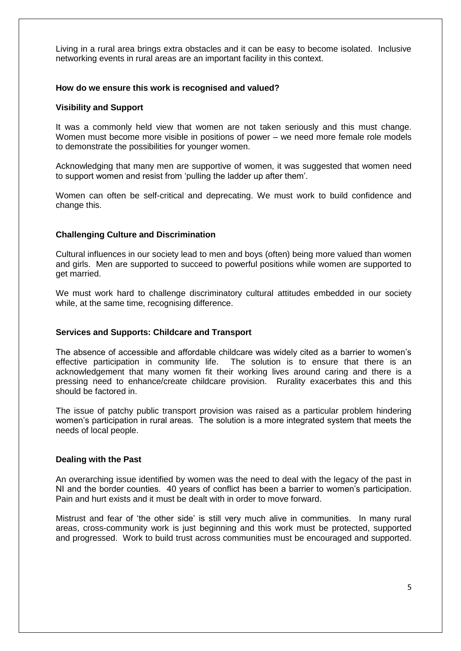Living in a rural area brings extra obstacles and it can be easy to become isolated. Inclusive networking events in rural areas are an important facility in this context.

# **How do we ensure this work is recognised and valued?**

#### **Visibility and Support**

It was a commonly held view that women are not taken seriously and this must change. Women must become more visible in positions of power – we need more female role models to demonstrate the possibilities for younger women.

Acknowledging that many men are supportive of women, it was suggested that women need to support women and resist from 'pulling the ladder up after them'.

Women can often be self-critical and deprecating. We must work to build confidence and change this.

# **Challenging Culture and Discrimination**

Cultural influences in our society lead to men and boys (often) being more valued than women and girls. Men are supported to succeed to powerful positions while women are supported to get married.

We must work hard to challenge discriminatory cultural attitudes embedded in our society while, at the same time, recognising difference.

#### **Services and Supports: Childcare and Transport**

The absence of accessible and affordable childcare was widely cited as a barrier to women's effective participation in community life. The solution is to ensure that there is an acknowledgement that many women fit their working lives around caring and there is a pressing need to enhance/create childcare provision. Rurality exacerbates this and this should be factored in.

The issue of patchy public transport provision was raised as a particular problem hindering women's participation in rural areas. The solution is a more integrated system that meets the needs of local people.

#### **Dealing with the Past**

An overarching issue identified by women was the need to deal with the legacy of the past in NI and the border counties. 40 years of conflict has been a barrier to women's participation. Pain and hurt exists and it must be dealt with in order to move forward.

Mistrust and fear of 'the other side' is still very much alive in communities. In many rural areas, cross-community work is just beginning and this work must be protected, supported and progressed. Work to build trust across communities must be encouraged and supported.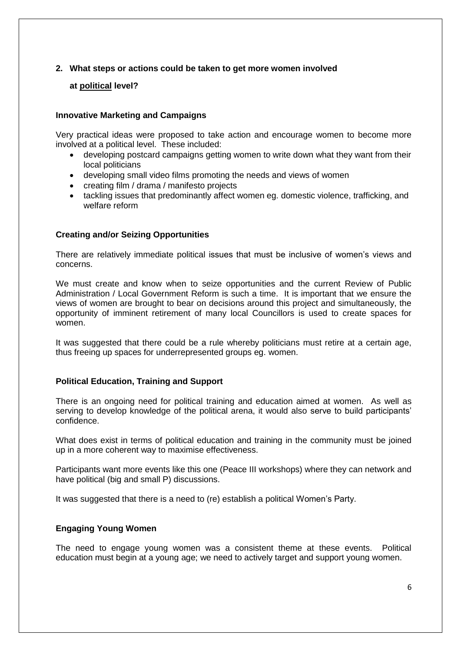# **2. What steps or actions could be taken to get more women involved**

# **at political level?**

#### **Innovative Marketing and Campaigns**

Very practical ideas were proposed to take action and encourage women to become more involved at a political level. These included:

- developing postcard campaigns getting women to write down what they want from their local politicians
- developing small video films promoting the needs and views of women
- creating film / drama / manifesto projects
- tackling issues that predominantly affect women eg. domestic violence, trafficking, and welfare reform

#### **Creating and/or Seizing Opportunities**

There are relatively immediate political issues that must be inclusive of women's views and concerns.

We must create and know when to seize opportunities and the current Review of Public Administration / Local Government Reform is such a time. It is important that we ensure the views of women are brought to bear on decisions around this project and simultaneously, the opportunity of imminent retirement of many local Councillors is used to create spaces for women.

It was suggested that there could be a rule whereby politicians must retire at a certain age, thus freeing up spaces for underrepresented groups eg. women.

#### **Political Education, Training and Support**

There is an ongoing need for political training and education aimed at women. As well as serving to develop knowledge of the political arena, it would also serve to build participants' confidence.

What does exist in terms of political education and training in the community must be joined up in a more coherent way to maximise effectiveness.

Participants want more events like this one (Peace III workshops) where they can network and have political (big and small P) discussions.

It was suggested that there is a need to (re) establish a political Women's Party.

#### **Engaging Young Women**

The need to engage young women was a consistent theme at these events. Political education must begin at a young age; we need to actively target and support young women.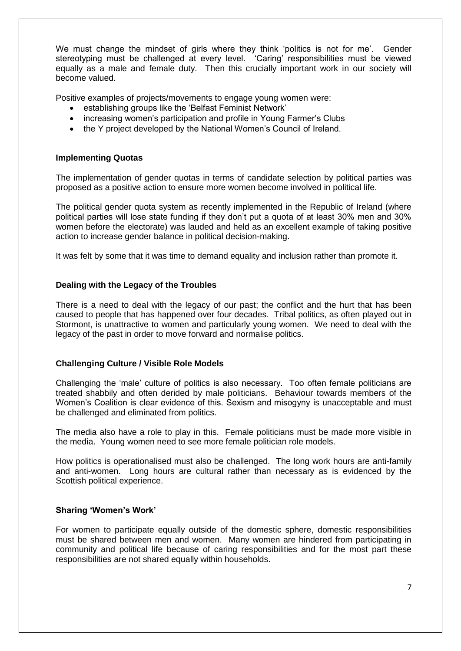We must change the mindset of girls where they think 'politics is not for me'. Gender stereotyping must be challenged at every level. 'Caring' responsibilities must be viewed equally as a male and female duty. Then this crucially important work in our society will become valued.

Positive examples of projects/movements to engage young women were:

- establishing groups like the 'Belfast Feminist Network'
- increasing women's participation and profile in Young Farmer's Clubs
- the Y project developed by the National Women's Council of Ireland.

#### **Implementing Quotas**

The implementation of gender quotas in terms of candidate selection by political parties was proposed as a positive action to ensure more women become involved in political life.

The political gender quota system as recently implemented in the Republic of Ireland (where political parties will lose state funding if they don't put a quota of at least 30% men and 30% women before the electorate) was lauded and held as an excellent example of taking positive action to increase gender balance in political decision-making.

It was felt by some that it was time to demand equality and inclusion rather than promote it.

# **Dealing with the Legacy of the Troubles**

There is a need to deal with the legacy of our past; the conflict and the hurt that has been caused to people that has happened over four decades. Tribal politics, as often played out in Stormont, is unattractive to women and particularly young women. We need to deal with the legacy of the past in order to move forward and normalise politics.

#### **Challenging Culture / Visible Role Models**

Challenging the 'male' culture of politics is also necessary. Too often female politicians are treated shabbily and often derided by male politicians. Behaviour towards members of the Women's Coalition is clear evidence of this. Sexism and misogyny is unacceptable and must be challenged and eliminated from politics.

The media also have a role to play in this. Female politicians must be made more visible in the media. Young women need to see more female politician role models.

How politics is operationalised must also be challenged. The long work hours are anti-family and anti-women. Long hours are cultural rather than necessary as is evidenced by the Scottish political experience.

#### **Sharing 'Women's Work'**

For women to participate equally outside of the domestic sphere, domestic responsibilities must be shared between men and women. Many women are hindered from participating in community and political life because of caring responsibilities and for the most part these responsibilities are not shared equally within households.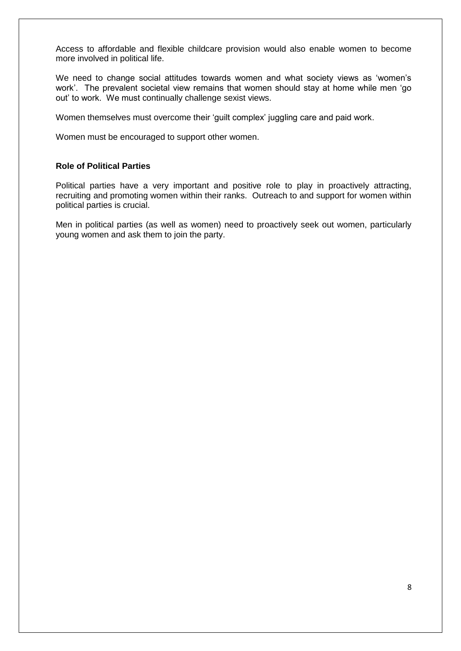Access to affordable and flexible childcare provision would also enable women to become more involved in political life.

We need to change social attitudes towards women and what society views as 'women's work'. The prevalent societal view remains that women should stay at home while men 'go out' to work. We must continually challenge sexist views.

Women themselves must overcome their 'quilt complex' juggling care and paid work.

Women must be encouraged to support other women.

# **Role of Political Parties**

Political parties have a very important and positive role to play in proactively attracting, recruiting and promoting women within their ranks. Outreach to and support for women within political parties is crucial.

Men in political parties (as well as women) need to proactively seek out women, particularly young women and ask them to join the party.